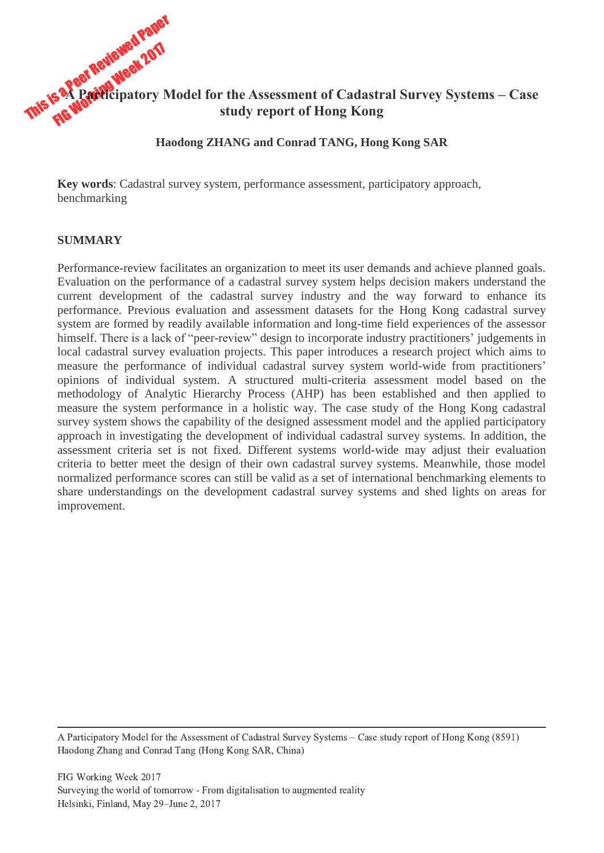

**Haodong ZHANG and Conrad TANG, Hong Kong SAR**

**Key words**: Cadastral survey system, performance assessment, participatory approach, benchmarking

### **SUMMARY**

Performance-review facilitates an organization to meet its user demands and achieve planned goals. Evaluation on the performance of a cadastral survey system helps decision makers understand the current development of the cadastral survey industry and the way forward to enhance its performance. Previous evaluation and assessment datasets for the Hong Kong cadastral survey system are formed by readily available information and long-time field experiences of the assessor himself. There is a lack of "peer-review" design to incorporate industry practitioners' judgements in local cadastral survey evaluation projects. This paper introduces a research project which aims to measure the performance of individual cadastral survey system world-wide from practitioners' opinions of individual system. A structured multi-criteria assessment model based on the methodology of Analytic Hierarchy Process (AHP) has been established and then applied to measure the system performance in a holistic way. The case study of the Hong Kong cadastral survey system shows the capability of the designed assessment model and the applied participatory approach in investigating the development of individual cadastral survey systems. In addition, the assessment criteria set is not fixed. Different systems world-wide may adjust their evaluation criteria to better meet the design of their own cadastral survey systems. Meanwhile, those model normalized performance scores can still be valid as a set of international benchmarking elements to share understandings on the development cadastral survey systems and shed lights on areas for improvement.

A Participatory Model for the Assessment of Cadastral Survey Systems – Case study report of Hong Kong (8591) Haodong Zhang and Conrad Tang (Hong Kong SAR, China)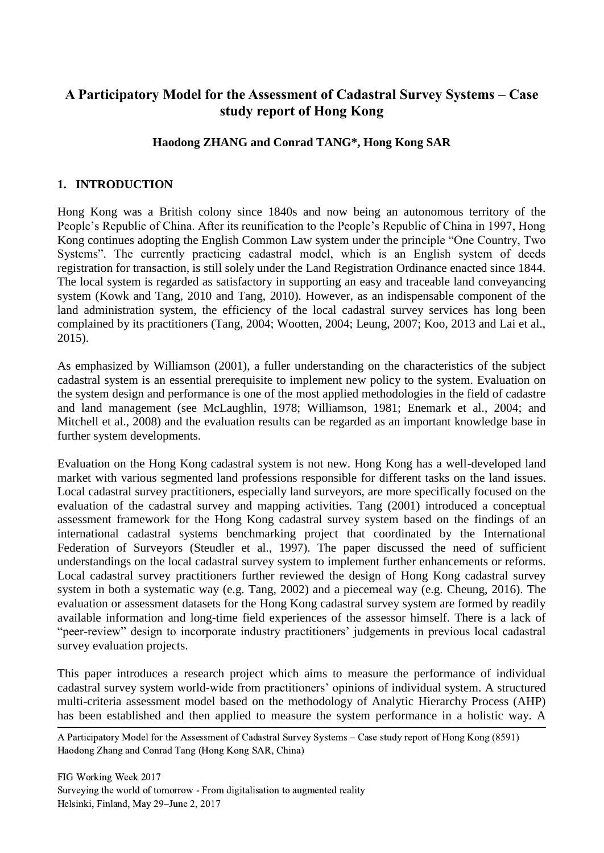# **A Participatory Model for the Assessment of Cadastral Survey Systems – Case study report of Hong Kong**

## **Haodong ZHANG and Conrad TANG\*, Hong Kong SAR**

## **1. INTRODUCTION**

Hong Kong was a British colony since 1840s and now being an autonomous territory of the People's Republic of China. After its reunification to the People's Republic of China in 1997, Hong Kong continues adopting the English Common Law system under the principle "One Country, Two Systems". The currently practicing cadastral model, which is an English system of deeds registration for transaction, is still solely under the Land Registration Ordinance enacted since 1844. The local system is regarded as satisfactory in supporting an easy and traceable land conveyancing system (Kowk and Tang, 2010 and Tang, 2010). However, as an indispensable component of the land administration system, the efficiency of the local cadastral survey services has long been complained by its practitioners (Tang, 2004; Wootten, 2004; Leung, 2007; Koo, 2013 and Lai et al., 2015).

As emphasized by Williamson (2001), a fuller understanding on the characteristics of the subject cadastral system is an essential prerequisite to implement new policy to the system. Evaluation on the system design and performance is one of the most applied methodologies in the field of cadastre and land management (see McLaughlin, 1978; Williamson, 1981; Enemark et al., 2004; and Mitchell et al., 2008) and the evaluation results can be regarded as an important knowledge base in further system developments.

Evaluation on the Hong Kong cadastral system is not new. Hong Kong has a well-developed land market with various segmented land professions responsible for different tasks on the land issues. Local cadastral survey practitioners, especially land surveyors, are more specifically focused on the evaluation of the cadastral survey and mapping activities. Tang (2001) introduced a conceptual assessment framework for the Hong Kong cadastral survey system based on the findings of an international cadastral systems benchmarking project that coordinated by the International Federation of Surveyors (Steudler et al., 1997). The paper discussed the need of sufficient understandings on the local cadastral survey system to implement further enhancements or reforms. Local cadastral survey practitioners further reviewed the design of Hong Kong cadastral survey system in both a systematic way (e.g. Tang, 2002) and a piecemeal way (e.g. Cheung, 2016). The evaluation or assessment datasets for the Hong Kong cadastral survey system are formed by readily available information and long-time field experiences of the assessor himself. There is a lack of "peer-review" design to incorporate industry practitioners' judgements in previous local cadastral survey evaluation projects.

This paper introduces a research project which aims to measure the performance of individual cadastral survey system world-wide from practitioners' opinions of individual system. A structured multi-criteria assessment model based on the methodology of Analytic Hierarchy Process (AHP) has been established and then applied to measure the system performance in a holistic way. A

 A Participatory Model for the Assessment of Cadastral Survey Systems – Case study report of Hong Kong (8591) Haodong Zhang and Conrad Tang (Hong Kong SAR, China)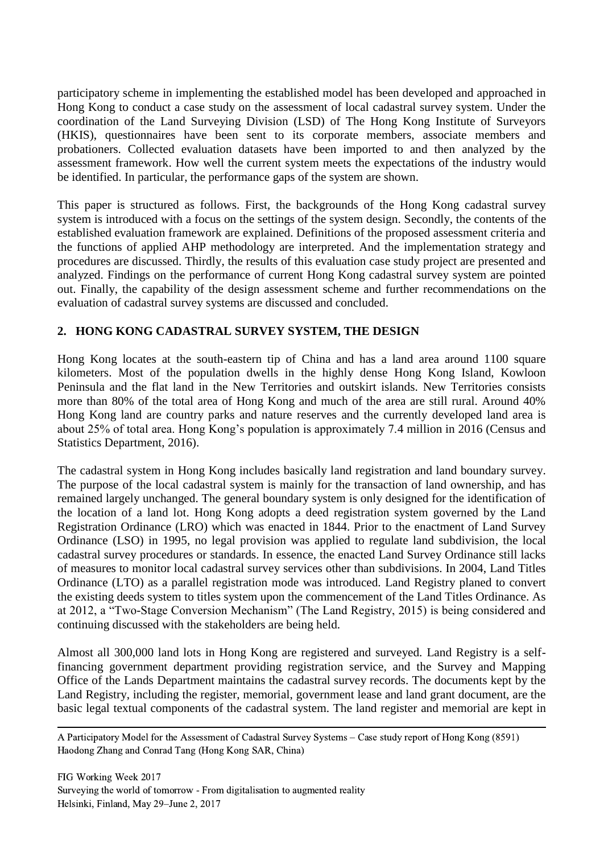participatory scheme in implementing the established model has been developed and approached in Hong Kong to conduct a case study on the assessment of local cadastral survey system. Under the coordination of the Land Surveying Division (LSD) of The Hong Kong Institute of Surveyors (HKIS), questionnaires have been sent to its corporate members, associate members and probationers. Collected evaluation datasets have been imported to and then analyzed by the assessment framework. How well the current system meets the expectations of the industry would be identified. In particular, the performance gaps of the system are shown.

This paper is structured as follows. First, the backgrounds of the Hong Kong cadastral survey system is introduced with a focus on the settings of the system design. Secondly, the contents of the established evaluation framework are explained. Definitions of the proposed assessment criteria and the functions of applied AHP methodology are interpreted. And the implementation strategy and procedures are discussed. Thirdly, the results of this evaluation case study project are presented and analyzed. Findings on the performance of current Hong Kong cadastral survey system are pointed out. Finally, the capability of the design assessment scheme and further recommendations on the evaluation of cadastral survey systems are discussed and concluded.

# **2. HONG KONG CADASTRAL SURVEY SYSTEM, THE DESIGN**

Hong Kong locates at the south-eastern tip of China and has a land area around 1100 square kilometers. Most of the population dwells in the highly dense Hong Kong Island, Kowloon Peninsula and the flat land in the New Territories and outskirt islands. New Territories consists more than 80% of the total area of Hong Kong and much of the area are still rural. Around 40% Hong Kong land are country parks and nature reserves and the currently developed land area is about 25% of total area. Hong Kong's population is approximately 7.4 million in 2016 (Census and Statistics Department, 2016).

The cadastral system in Hong Kong includes basically land registration and land boundary survey. The purpose of the local cadastral system is mainly for the transaction of land ownership, and has remained largely unchanged. The general boundary system is only designed for the identification of the location of a land lot. Hong Kong adopts a deed registration system governed by the Land Registration Ordinance (LRO) which was enacted in 1844. Prior to the enactment of Land Survey Ordinance (LSO) in 1995, no legal provision was applied to regulate land subdivision, the local cadastral survey procedures or standards. In essence, the enacted Land Survey Ordinance still lacks of measures to monitor local cadastral survey services other than subdivisions. In 2004, Land Titles Ordinance (LTO) as a parallel registration mode was introduced. Land Registry planed to convert the existing deeds system to titles system upon the commencement of the Land Titles Ordinance. As at 2012, a "Two-Stage Conversion Mechanism" (The Land Registry, 2015) is being considered and continuing discussed with the stakeholders are being held.

Almost all 300,000 land lots in Hong Kong are registered and surveyed. Land Registry is a selffinancing government department providing registration service, and the Survey and Mapping Office of the Lands Department maintains the cadastral survey records. The documents kept by the Land Registry, including the register, memorial, government lease and land grant document, are the basic legal textual components of the cadastral system. The land register and memorial are kept in

 A Participatory Model for the Assessment of Cadastral Survey Systems – Case study report of Hong Kong (8591) Haodong Zhang and Conrad Tang (Hong Kong SAR, China)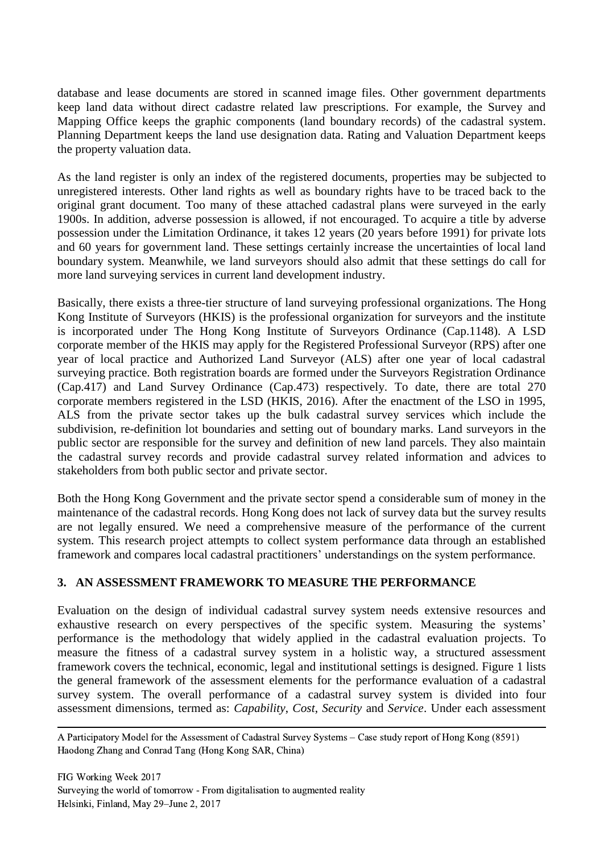database and lease documents are stored in scanned image files. Other government departments keep land data without direct cadastre related law prescriptions. For example, the Survey and Mapping Office keeps the graphic components (land boundary records) of the cadastral system. Planning Department keeps the land use designation data. Rating and Valuation Department keeps the property valuation data.

As the land register is only an index of the registered documents, properties may be subjected to unregistered interests. Other land rights as well as boundary rights have to be traced back to the original grant document. Too many of these attached cadastral plans were surveyed in the early 1900s. In addition, adverse possession is allowed, if not encouraged. To acquire a title by adverse possession under the Limitation Ordinance, it takes 12 years (20 years before 1991) for private lots and 60 years for government land. These settings certainly increase the uncertainties of local land boundary system. Meanwhile, we land surveyors should also admit that these settings do call for more land surveying services in current land development industry.

Basically, there exists a three-tier structure of land surveying professional organizations. The Hong Kong Institute of Surveyors (HKIS) is the professional organization for surveyors and the institute is incorporated under The Hong Kong Institute of Surveyors Ordinance (Cap.1148). A LSD corporate member of the HKIS may apply for the Registered Professional Surveyor (RPS) after one year of local practice and Authorized Land Surveyor (ALS) after one year of local cadastral surveying practice. Both registration boards are formed under the Surveyors Registration Ordinance (Cap.417) and Land Survey Ordinance (Cap.473) respectively. To date, there are total 270 corporate members registered in the LSD (HKIS, 2016). After the enactment of the LSO in 1995, ALS from the private sector takes up the bulk cadastral survey services which include the subdivision, re-definition lot boundaries and setting out of boundary marks. Land surveyors in the public sector are responsible for the survey and definition of new land parcels. They also maintain the cadastral survey records and provide cadastral survey related information and advices to stakeholders from both public sector and private sector.

Both the Hong Kong Government and the private sector spend a considerable sum of money in the maintenance of the cadastral records. Hong Kong does not lack of survey data but the survey results are not legally ensured. We need a comprehensive measure of the performance of the current system. This research project attempts to collect system performance data through an established framework and compares local cadastral practitioners' understandings on the system performance.

# **3. AN ASSESSMENT FRAMEWORK TO MEASURE THE PERFORMANCE**

Evaluation on the design of individual cadastral survey system needs extensive resources and exhaustive research on every perspectives of the specific system. Measuring the systems' performance is the methodology that widely applied in the cadastral evaluation projects. To measure the fitness of a cadastral survey system in a holistic way, a structured assessment framework covers the technical, economic, legal and institutional settings is designed. Figure 1 lists the general framework of the assessment elements for the performance evaluation of a cadastral survey system. The overall performance of a cadastral survey system is divided into four assessment dimensions, termed as: *Capability*, *Cost*, *Security* and *Service*. Under each assessment

 A Participatory Model for the Assessment of Cadastral Survey Systems – Case study report of Hong Kong (8591) Haodong Zhang and Conrad Tang (Hong Kong SAR, China)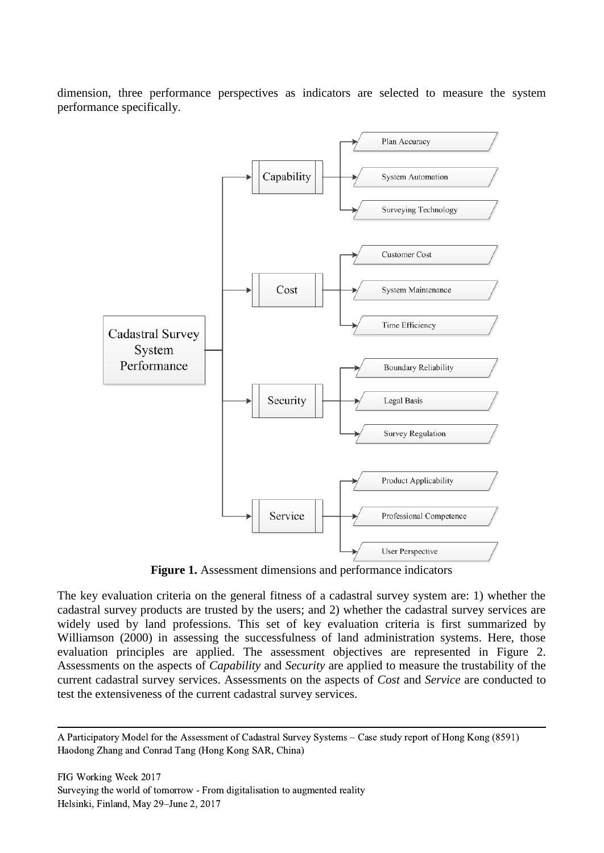dimension, three performance perspectives as indicators are selected to measure the system performance specifically.



**Figure 1.** Assessment dimensions and performance indicators

The key evaluation criteria on the general fitness of a cadastral survey system are: 1) whether the cadastral survey products are trusted by the users; and 2) whether the cadastral survey services are widely used by land professions. This set of key evaluation criteria is first summarized by Williamson (2000) in assessing the successfulness of land administration systems. Here, those evaluation principles are applied. The assessment objectives are represented in Figure 2. Assessments on the aspects of *Capability* and *Security* are applied to measure the trustability of the current cadastral survey services. Assessments on the aspects of *Cost* and *Service* are conducted to test the extensiveness of the current cadastral survey services.

 A Participatory Model for the Assessment of Cadastral Survey Systems – Case study report of Hong Kong (8591) Haodong Zhang and Conrad Tang (Hong Kong SAR, China)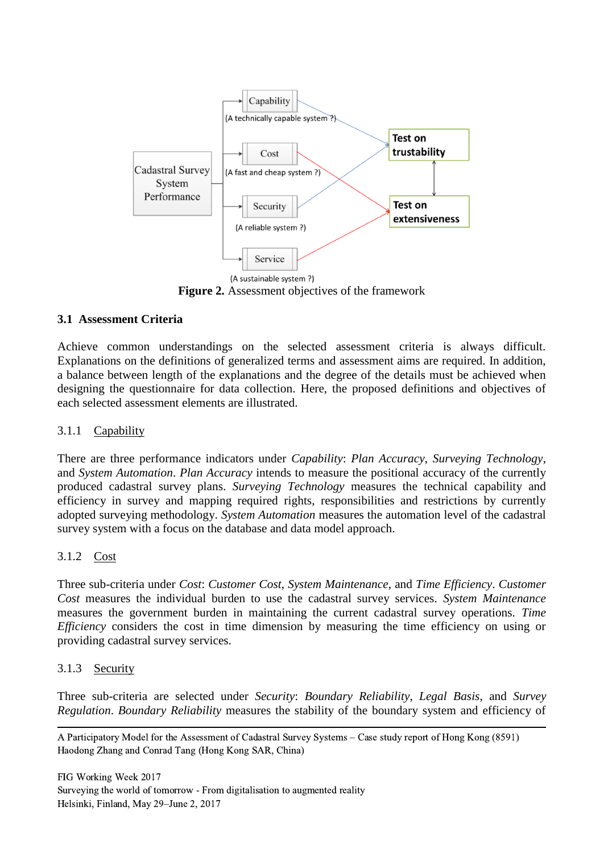

**Figure 2.** Assessment objectives of the framework

### **3.1 Assessment Criteria**

Achieve common understandings on the selected assessment criteria is always difficult. Explanations on the definitions of generalized terms and assessment aims are required. In addition, a balance between length of the explanations and the degree of the details must be achieved when designing the questionnaire for data collection. Here, the proposed definitions and objectives of each selected assessment elements are illustrated.

#### 3.1.1 Capability

There are three performance indicators under *Capability*: *Plan Accuracy*, *Surveying Technology*, and *System Automation*. *Plan Accuracy* intends to measure the positional accuracy of the currently produced cadastral survey plans. *Surveying Technology* measures the technical capability and efficiency in survey and mapping required rights, responsibilities and restrictions by currently adopted surveying methodology. *System Automation* measures the automation level of the cadastral survey system with a focus on the database and data model approach.

### 3.1.2 Cost

Three sub-criteria under *Cost*: *Customer Cost*, *System Maintenance*, and *Time Efficiency*. *Customer Cost* measures the individual burden to use the cadastral survey services. *System Maintenance* measures the government burden in maintaining the current cadastral survey operations. *Time Efficiency* considers the cost in time dimension by measuring the time efficiency on using or providing cadastral survey services.

#### 3.1.3 Security

Three sub-criteria are selected under *Security*: *Boundary Reliability*, *Legal Basis*, and *Survey Regulation*. *Boundary Reliability* measures the stability of the boundary system and efficiency of

 A Participatory Model for the Assessment of Cadastral Survey Systems – Case study report of Hong Kong (8591) Haodong Zhang and Conrad Tang (Hong Kong SAR, China)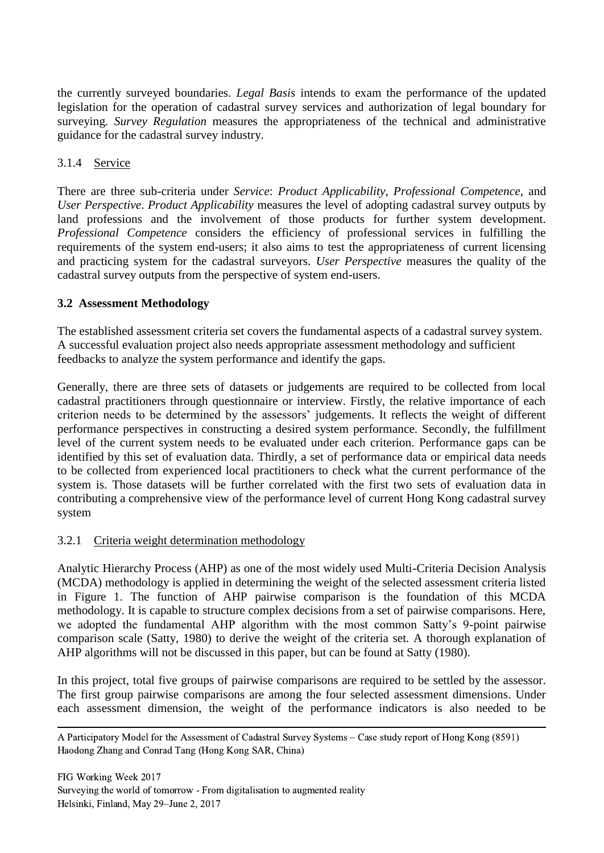the currently surveyed boundaries. *Legal Basis* intends to exam the performance of the updated legislation for the operation of cadastral survey services and authorization of legal boundary for surveying. *Survey Regulation* measures the appropriateness of the technical and administrative guidance for the cadastral survey industry.

## 3.1.4 Service

There are three sub-criteria under *Service*: *Product Applicability*, *Professional Competence*, and *User Perspective*. *Product Applicability* measures the level of adopting cadastral survey outputs by land professions and the involvement of those products for further system development. *Professional Competence* considers the efficiency of professional services in fulfilling the requirements of the system end-users; it also aims to test the appropriateness of current licensing and practicing system for the cadastral surveyors. *User Perspective* measures the quality of the cadastral survey outputs from the perspective of system end-users.

### **3.2 Assessment Methodology**

The established assessment criteria set covers the fundamental aspects of a cadastral survey system. A successful evaluation project also needs appropriate assessment methodology and sufficient feedbacks to analyze the system performance and identify the gaps.

Generally, there are three sets of datasets or judgements are required to be collected from local cadastral practitioners through questionnaire or interview. Firstly, the relative importance of each criterion needs to be determined by the assessors' judgements. It reflects the weight of different performance perspectives in constructing a desired system performance. Secondly, the fulfillment level of the current system needs to be evaluated under each criterion. Performance gaps can be identified by this set of evaluation data. Thirdly, a set of performance data or empirical data needs to be collected from experienced local practitioners to check what the current performance of the system is. Those datasets will be further correlated with the first two sets of evaluation data in contributing a comprehensive view of the performance level of current Hong Kong cadastral survey system

### 3.2.1 Criteria weight determination methodology

Analytic Hierarchy Process (AHP) as one of the most widely used Multi-Criteria Decision Analysis (MCDA) methodology is applied in determining the weight of the selected assessment criteria listed in Figure 1. The function of AHP pairwise comparison is the foundation of this MCDA methodology. It is capable to structure complex decisions from a set of pairwise comparisons. Here, we adopted the fundamental AHP algorithm with the most common Satty's 9-point pairwise comparison scale (Satty, 1980) to derive the weight of the criteria set. A thorough explanation of AHP algorithms will not be discussed in this paper, but can be found at Satty (1980).

In this project, total five groups of pairwise comparisons are required to be settled by the assessor. The first group pairwise comparisons are among the four selected assessment dimensions. Under each assessment dimension, the weight of the performance indicators is also needed to be

 A Participatory Model for the Assessment of Cadastral Survey Systems – Case study report of Hong Kong (8591) Haodong Zhang and Conrad Tang (Hong Kong SAR, China)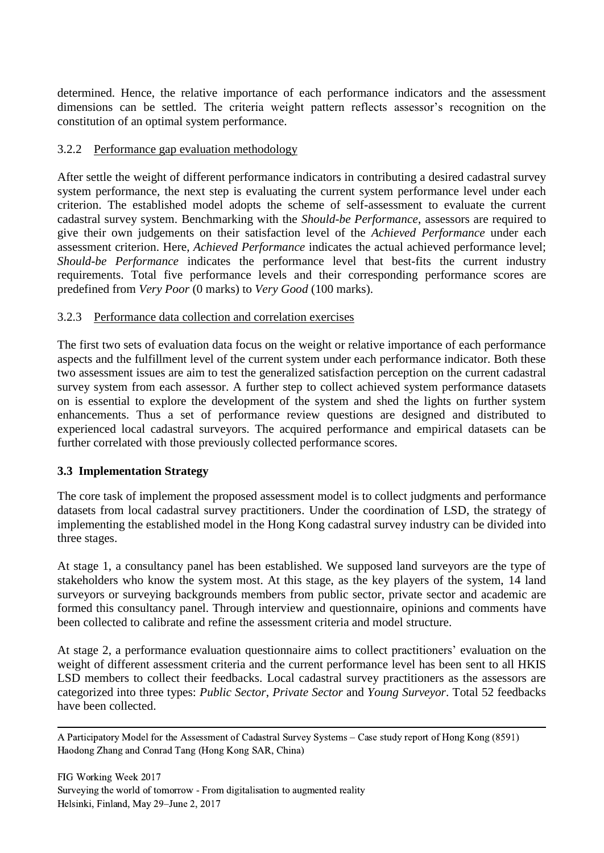determined. Hence, the relative importance of each performance indicators and the assessment dimensions can be settled. The criteria weight pattern reflects assessor's recognition on the constitution of an optimal system performance.

### 3.2.2 Performance gap evaluation methodology

After settle the weight of different performance indicators in contributing a desired cadastral survey system performance, the next step is evaluating the current system performance level under each criterion. The established model adopts the scheme of self-assessment to evaluate the current cadastral survey system. Benchmarking with the *Should-be Performance*, assessors are required to give their own judgements on their satisfaction level of the *Achieved Performance* under each assessment criterion. Here, *Achieved Performance* indicates the actual achieved performance level; *Should-be Performance* indicates the performance level that best-fits the current industry requirements. Total five performance levels and their corresponding performance scores are predefined from *Very Poor* (0 marks) to *Very Good* (100 marks).

### 3.2.3 Performance data collection and correlation exercises

The first two sets of evaluation data focus on the weight or relative importance of each performance aspects and the fulfillment level of the current system under each performance indicator. Both these two assessment issues are aim to test the generalized satisfaction perception on the current cadastral survey system from each assessor. A further step to collect achieved system performance datasets on is essential to explore the development of the system and shed the lights on further system enhancements. Thus a set of performance review questions are designed and distributed to experienced local cadastral surveyors. The acquired performance and empirical datasets can be further correlated with those previously collected performance scores.

#### **3.3 Implementation Strategy**

The core task of implement the proposed assessment model is to collect judgments and performance datasets from local cadastral survey practitioners. Under the coordination of LSD, the strategy of implementing the established model in the Hong Kong cadastral survey industry can be divided into three stages.

At stage 1, a consultancy panel has been established. We supposed land surveyors are the type of stakeholders who know the system most. At this stage, as the key players of the system, 14 land surveyors or surveying backgrounds members from public sector, private sector and academic are formed this consultancy panel. Through interview and questionnaire, opinions and comments have been collected to calibrate and refine the assessment criteria and model structure.

At stage 2, a performance evaluation questionnaire aims to collect practitioners' evaluation on the weight of different assessment criteria and the current performance level has been sent to all HKIS LSD members to collect their feedbacks. Local cadastral survey practitioners as the assessors are categorized into three types: *Public Sector*, *Private Sector* and *Young Surveyor*. Total 52 feedbacks have been collected.

 A Participatory Model for the Assessment of Cadastral Survey Systems – Case study report of Hong Kong (8591) Haodong Zhang and Conrad Tang (Hong Kong SAR, China)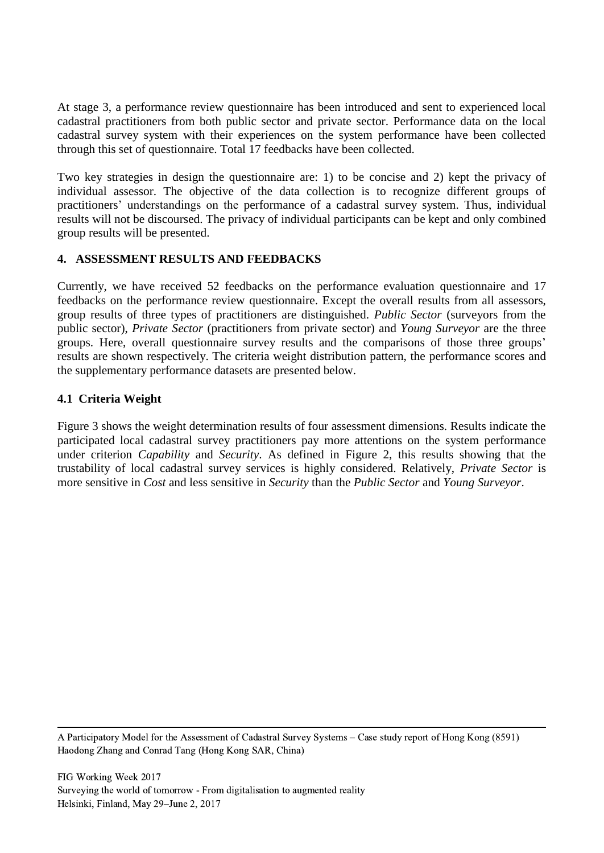At stage 3, a performance review questionnaire has been introduced and sent to experienced local cadastral practitioners from both public sector and private sector. Performance data on the local cadastral survey system with their experiences on the system performance have been collected through this set of questionnaire. Total 17 feedbacks have been collected.

Two key strategies in design the questionnaire are: 1) to be concise and 2) kept the privacy of individual assessor. The objective of the data collection is to recognize different groups of practitioners' understandings on the performance of a cadastral survey system. Thus, individual results will not be discoursed. The privacy of individual participants can be kept and only combined group results will be presented.

## **4. ASSESSMENT RESULTS AND FEEDBACKS**

Currently, we have received 52 feedbacks on the performance evaluation questionnaire and 17 feedbacks on the performance review questionnaire. Except the overall results from all assessors, group results of three types of practitioners are distinguished. *Public Sector* (surveyors from the public sector), *Private Sector* (practitioners from private sector) and *Young Surveyor* are the three groups. Here, overall questionnaire survey results and the comparisons of those three groups' results are shown respectively. The criteria weight distribution pattern, the performance scores and the supplementary performance datasets are presented below.

### **4.1 Criteria Weight**

Figure 3 shows the weight determination results of four assessment dimensions. Results indicate the participated local cadastral survey practitioners pay more attentions on the system performance under criterion *Capability* and *Security*. As defined in Figure 2, this results showing that the trustability of local cadastral survey services is highly considered. Relatively, *Private Sector* is more sensitive in *Cost* and less sensitive in *Security* than the *Public Sector* and *Young Surveyor*.

 A Participatory Model for the Assessment of Cadastral Survey Systems – Case study report of Hong Kong (8591) Haodong Zhang and Conrad Tang (Hong Kong SAR, China)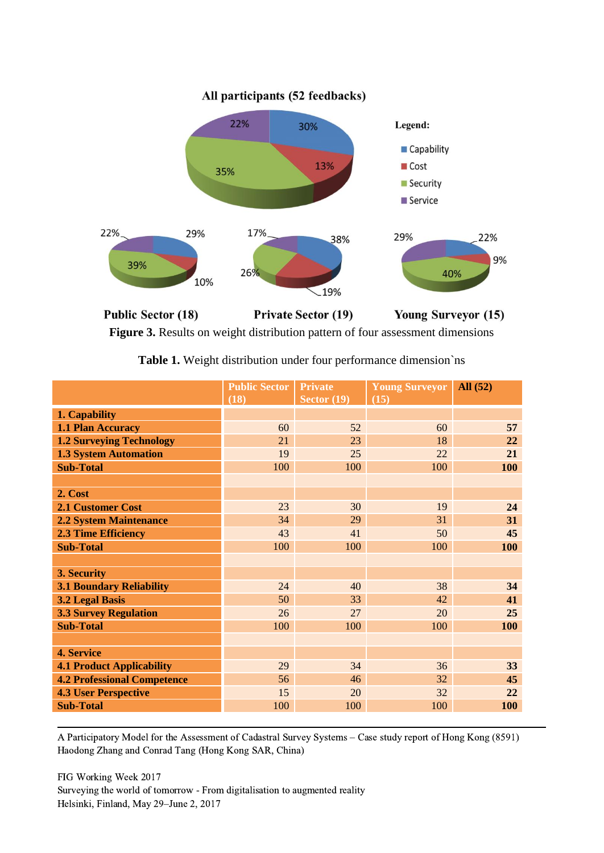

**Figure 3.** Results on weight distribution pattern of four assessment dimensions

|                                    | <b>Public Sector</b><br>(18) | <b>Private</b><br>Sector $(19)$ | <b>Young Surveyor</b><br>(15) | All (52)   |
|------------------------------------|------------------------------|---------------------------------|-------------------------------|------------|
| 1. Capability                      |                              |                                 |                               |            |
| 1.1 Plan Accuracy                  | 60                           | 52                              | 60                            | 57         |
| <b>1.2 Surveying Technology</b>    | 21                           | 23                              | 18                            | 22         |
| <b>1.3 System Automation</b>       | 19                           | 25                              | 22                            | 21         |
| <b>Sub-Total</b>                   | 100                          | 100                             | 100                           | 100        |
|                                    |                              |                                 |                               |            |
| 2. Cost                            |                              |                                 |                               |            |
| <b>2.1 Customer Cost</b>           | 23                           | 30                              | 19                            | 24         |
| <b>2.2 System Maintenance</b>      | 34                           | 29                              | 31                            | 31         |
| <b>2.3 Time Efficiency</b>         | 43                           | 41                              | 50                            | 45         |
| <b>Sub-Total</b>                   | 100                          | 100                             | 100                           | <b>100</b> |
|                                    |                              |                                 |                               |            |
| 3. Security                        |                              |                                 |                               |            |
| <b>3.1 Boundary Reliability</b>    | 24                           | 40                              | 38                            | 34         |
| <b>3.2 Legal Basis</b>             | 50                           | 33                              | 42                            | 41         |
| <b>3.3 Survey Regulation</b>       | 26                           | 27                              | 20                            | 25         |
| <b>Sub-Total</b>                   | 100                          | 100                             | 100                           | 100        |
|                                    |                              |                                 |                               |            |
| 4. Service                         |                              |                                 |                               |            |
| <b>4.1 Product Applicability</b>   | 29                           | 34                              | 36                            | 33         |
| <b>4.2 Professional Competence</b> | 56                           | 46                              | 32                            | 45         |
| <b>4.3 User Perspective</b>        | 15                           | 20                              | 32                            | 22         |
| <b>Sub-Total</b>                   | 100                          | 100                             | 100                           | <b>100</b> |

**Table 1.** Weight distribution under four performance dimension`ns

 A Participatory Model for the Assessment of Cadastral Survey Systems – Case study report of Hong Kong (8591) Haodong Zhang and Conrad Tang (Hong Kong SAR, China)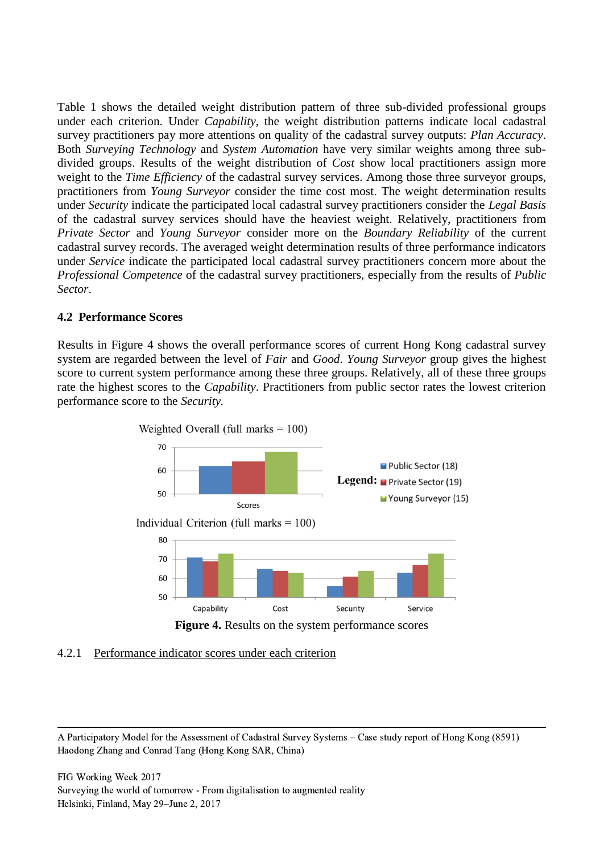Table 1 shows the detailed weight distribution pattern of three sub-divided professional groups under each criterion. Under *Capability*, the weight distribution patterns indicate local cadastral survey practitioners pay more attentions on quality of the cadastral survey outputs: *Plan Accuracy*. Both *Surveying Technology* and *System Automation* have very similar weights among three subdivided groups. Results of the weight distribution of *Cost* show local practitioners assign more weight to the *Time Efficiency* of the cadastral survey services. Among those three surveyor groups, practitioners from *Young Surveyor* consider the time cost most. The weight determination results under *Security* indicate the participated local cadastral survey practitioners consider the *Legal Basis* of the cadastral survey services should have the heaviest weight. Relatively, practitioners from *Private Sector* and *Young Surveyor* consider more on the *Boundary Reliability* of the current cadastral survey records. The averaged weight determination results of three performance indicators under *Service* indicate the participated local cadastral survey practitioners concern more about the *Professional Competence* of the cadastral survey practitioners, especially from the results of *Public Sector*.

#### **4.2 Performance Scores**

Results in Figure 4 shows the overall performance scores of current Hong Kong cadastral survey system are regarded between the level of *Fair* and *Good*. *Young Surveyor* group gives the highest score to current system performance among these three groups. Relatively, all of these three groups rate the highest scores to the *Capability*. Practitioners from public sector rates the lowest criterion performance score to the *Security.*



### 4.2.1 Performance indicator scores under each criterion

 A Participatory Model for the Assessment of Cadastral Survey Systems – Case study report of Hong Kong (8591) Haodong Zhang and Conrad Tang (Hong Kong SAR, China)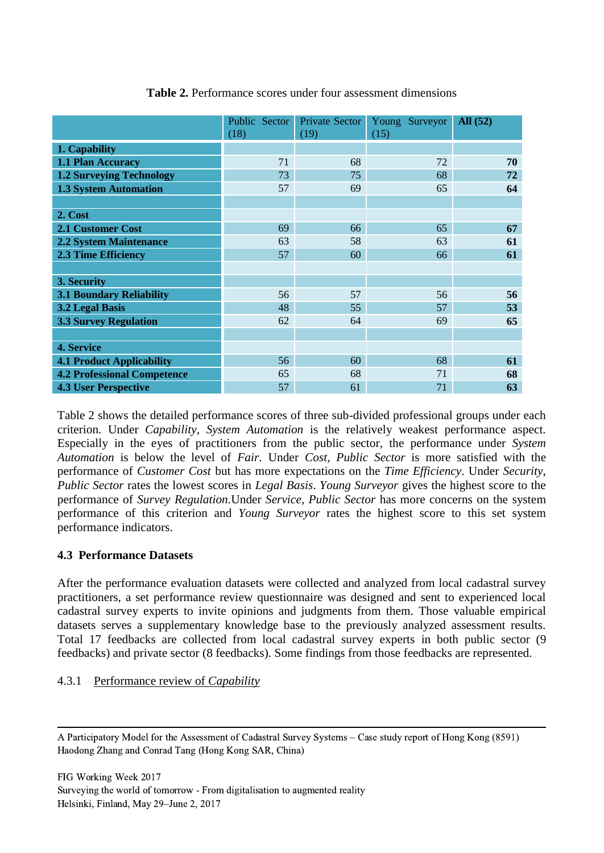|                                    | Public Sector<br>(18) | Private Sector<br>(19) | Young Surveyor<br>(15) | All (52) |
|------------------------------------|-----------------------|------------------------|------------------------|----------|
| 1. Capability                      |                       |                        |                        |          |
| 1.1 Plan Accuracy                  | 71                    | 68                     | 72                     | 70       |
| <b>1.2 Surveying Technology</b>    | 73                    | 75                     | 68                     | 72       |
| <b>1.3 System Automation</b>       | 57                    | 69                     | 65                     | 64       |
|                                    |                       |                        |                        |          |
| 2. Cost                            |                       |                        |                        |          |
| <b>2.1 Customer Cost</b>           | 69                    | 66                     | 65                     | 67       |
| <b>2.2 System Maintenance</b>      | 63                    | 58                     | 63                     | 61       |
| 2.3 Time Efficiency                | 57                    | 60                     | 66                     | 61       |
|                                    |                       |                        |                        |          |
| 3. Security                        |                       |                        |                        |          |
| <b>3.1 Boundary Reliability</b>    | 56                    | 57                     | 56                     | 56       |
| <b>3.2 Legal Basis</b>             | 48                    | 55                     | 57                     | 53       |
| <b>3.3 Survey Regulation</b>       | 62                    | 64                     | 69                     | 65       |
|                                    |                       |                        |                        |          |
| 4. Service                         |                       |                        |                        |          |
| <b>4.1 Product Applicability</b>   | 56                    | 60                     | 68                     | 61       |
| <b>4.2 Professional Competence</b> | 65                    | 68                     | 71                     | 68       |
| <b>4.3 User Perspective</b>        | 57                    | 61                     | 71                     | 63       |

### **Table 2.** Performance scores under four assessment dimensions

Table 2 shows the detailed performance scores of three sub-divided professional groups under each criterion. Under *Capability*, *System Automation* is the relatively weakest performance aspect. Especially in the eyes of practitioners from the public sector, the performance under *System Automation* is below the level of *Fair*. Under *Cost*, *Public Sector* is more satisfied with the performance of *Customer Cost* but has more expectations on the *Time Efficiency*. Under *Security*, *Public Sector* rates the lowest scores in *Legal Basis*. *Young Surveyor* gives the highest score to the performance of *Survey Regulation.*Under *Service*, *Public Sector* has more concerns on the system performance of this criterion and *Young Surveyor* rates the highest score to this set system performance indicators.

### **4.3 Performance Datasets**

After the performance evaluation datasets were collected and analyzed from local cadastral survey practitioners, a set performance review questionnaire was designed and sent to experienced local cadastral survey experts to invite opinions and judgments from them. Those valuable empirical datasets serves a supplementary knowledge base to the previously analyzed assessment results. Total 17 feedbacks are collected from local cadastral survey experts in both public sector (9 feedbacks) and private sector (8 feedbacks). Some findings from those feedbacks are represented.

### 4.3.1 Performance review of *Capability*

 A Participatory Model for the Assessment of Cadastral Survey Systems – Case study report of Hong Kong (8591) Haodong Zhang and Conrad Tang (Hong Kong SAR, China)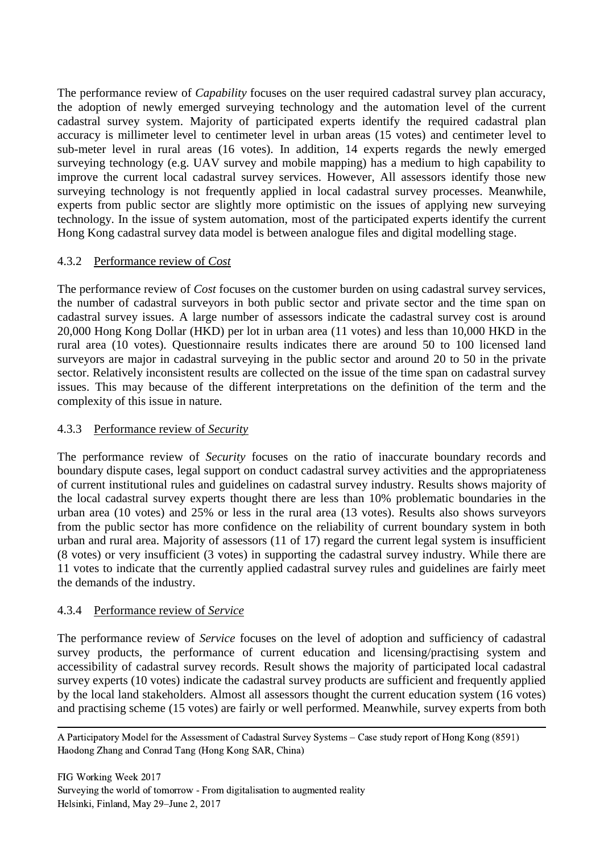The performance review of *Capability* focuses on the user required cadastral survey plan accuracy, the adoption of newly emerged surveying technology and the automation level of the current cadastral survey system. Majority of participated experts identify the required cadastral plan accuracy is millimeter level to centimeter level in urban areas (15 votes) and centimeter level to sub-meter level in rural areas (16 votes). In addition, 14 experts regards the newly emerged surveying technology (e.g. UAV survey and mobile mapping) has a medium to high capability to improve the current local cadastral survey services. However, All assessors identify those new surveying technology is not frequently applied in local cadastral survey processes. Meanwhile, experts from public sector are slightly more optimistic on the issues of applying new surveying technology. In the issue of system automation, most of the participated experts identify the current Hong Kong cadastral survey data model is between analogue files and digital modelling stage.

### 4.3.2 Performance review of *Cost*

The performance review of *Cost* focuses on the customer burden on using cadastral survey services, the number of cadastral surveyors in both public sector and private sector and the time span on cadastral survey issues. A large number of assessors indicate the cadastral survey cost is around 20,000 Hong Kong Dollar (HKD) per lot in urban area (11 votes) and less than 10,000 HKD in the rural area (10 votes). Questionnaire results indicates there are around 50 to 100 licensed land surveyors are major in cadastral surveying in the public sector and around 20 to 50 in the private sector. Relatively inconsistent results are collected on the issue of the time span on cadastral survey issues. This may because of the different interpretations on the definition of the term and the complexity of this issue in nature.

#### 4.3.3 Performance review of *Security*

The performance review of *Security* focuses on the ratio of inaccurate boundary records and boundary dispute cases, legal support on conduct cadastral survey activities and the appropriateness of current institutional rules and guidelines on cadastral survey industry. Results shows majority of the local cadastral survey experts thought there are less than 10% problematic boundaries in the urban area (10 votes) and 25% or less in the rural area (13 votes). Results also shows surveyors from the public sector has more confidence on the reliability of current boundary system in both urban and rural area. Majority of assessors (11 of 17) regard the current legal system is insufficient (8 votes) or very insufficient (3 votes) in supporting the cadastral survey industry. While there are 11 votes to indicate that the currently applied cadastral survey rules and guidelines are fairly meet the demands of the industry.

#### 4.3.4 Performance review of *Service*

The performance review of *Service* focuses on the level of adoption and sufficiency of cadastral survey products, the performance of current education and licensing/practising system and accessibility of cadastral survey records. Result shows the majority of participated local cadastral survey experts (10 votes) indicate the cadastral survey products are sufficient and frequently applied by the local land stakeholders. Almost all assessors thought the current education system (16 votes) and practising scheme (15 votes) are fairly or well performed. Meanwhile, survey experts from both

 A Participatory Model for the Assessment of Cadastral Survey Systems – Case study report of Hong Kong (8591) Haodong Zhang and Conrad Tang (Hong Kong SAR, China)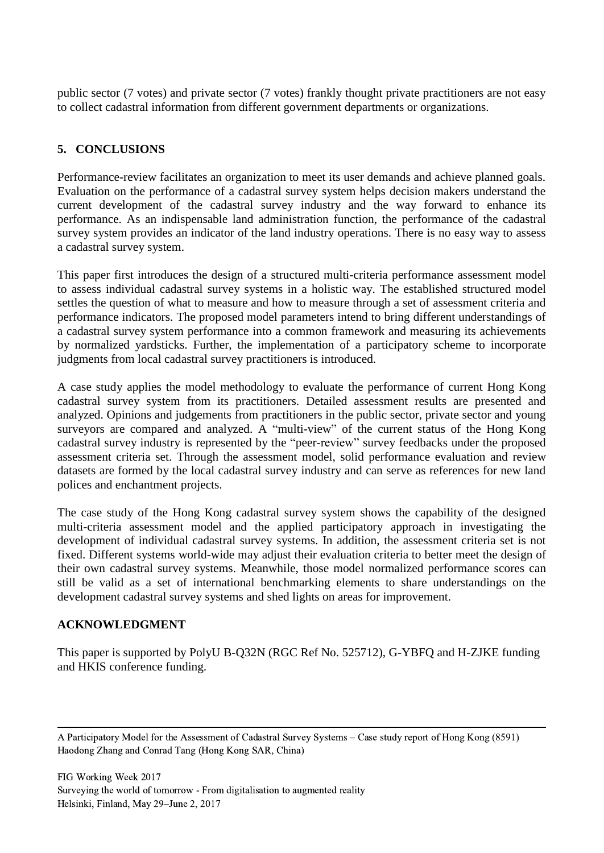public sector (7 votes) and private sector (7 votes) frankly thought private practitioners are not easy to collect cadastral information from different government departments or organizations.

## **5. CONCLUSIONS**

Performance-review facilitates an organization to meet its user demands and achieve planned goals. Evaluation on the performance of a cadastral survey system helps decision makers understand the current development of the cadastral survey industry and the way forward to enhance its performance. As an indispensable land administration function, the performance of the cadastral survey system provides an indicator of the land industry operations. There is no easy way to assess a cadastral survey system.

This paper first introduces the design of a structured multi-criteria performance assessment model to assess individual cadastral survey systems in a holistic way. The established structured model settles the question of what to measure and how to measure through a set of assessment criteria and performance indicators. The proposed model parameters intend to bring different understandings of a cadastral survey system performance into a common framework and measuring its achievements by normalized yardsticks. Further, the implementation of a participatory scheme to incorporate judgments from local cadastral survey practitioners is introduced.

A case study applies the model methodology to evaluate the performance of current Hong Kong cadastral survey system from its practitioners. Detailed assessment results are presented and analyzed. Opinions and judgements from practitioners in the public sector, private sector and young surveyors are compared and analyzed. A "multi-view" of the current status of the Hong Kong cadastral survey industry is represented by the "peer-review" survey feedbacks under the proposed assessment criteria set. Through the assessment model, solid performance evaluation and review datasets are formed by the local cadastral survey industry and can serve as references for new land polices and enchantment projects.

The case study of the Hong Kong cadastral survey system shows the capability of the designed multi-criteria assessment model and the applied participatory approach in investigating the development of individual cadastral survey systems. In addition, the assessment criteria set is not fixed. Different systems world-wide may adjust their evaluation criteria to better meet the design of their own cadastral survey systems. Meanwhile, those model normalized performance scores can still be valid as a set of international benchmarking elements to share understandings on the development cadastral survey systems and shed lights on areas for improvement.

### **ACKNOWLEDGMENT**

This paper is supported by PolyU B-Q32N (RGC Ref No. 525712), G-YBFQ and H-ZJKE funding and HKIS conference funding.

 A Participatory Model for the Assessment of Cadastral Survey Systems – Case study report of Hong Kong (8591) Haodong Zhang and Conrad Tang (Hong Kong SAR, China)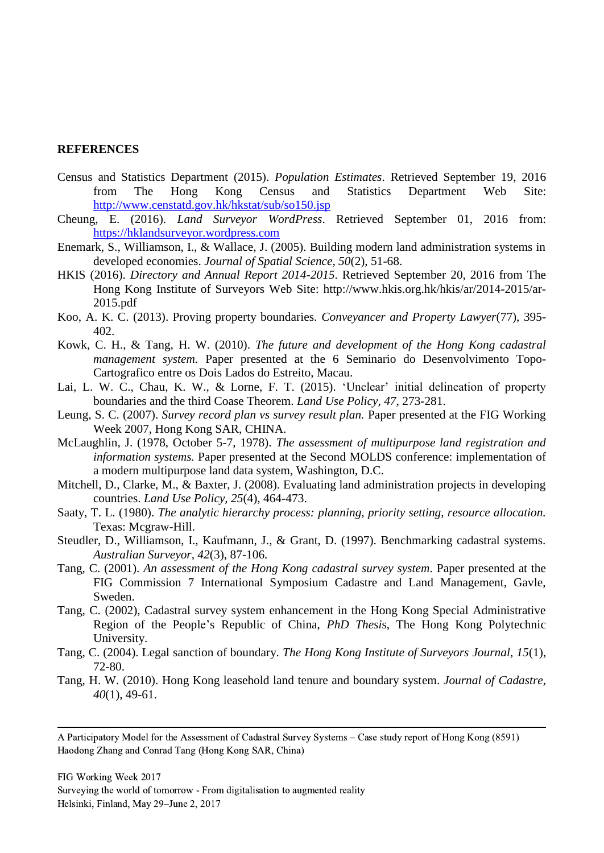#### **REFERENCES**

- Census and Statistics Department (2015). *Population Estimates*. Retrieved September 19, 2016 from The Hong Kong Census and Statistics Department Web Site: <http://www.censtatd.gov.hk/hkstat/sub/so150.jsp>
- Cheung, E. (2016). *Land Surveyor WordPress*. Retrieved September 01, 2016 from: [https://hklandsurveyor.wordpress.com](https://hklandsurveyor.wordpress.com/)
- Enemark, S., Williamson, I., & Wallace, J. (2005). Building modern land administration systems in developed economies. *Journal of Spatial Science, 50*(2), 51-68.
- HKIS (2016). *Directory and Annual Report 2014-2015*. Retrieved September 20, 2016 from The Hong Kong Institute of Surveyors Web Site: http://www.hkis.org.hk/hkis/ar/2014-2015/ar-2015.pdf
- Koo, A. K. C. (2013). Proving property boundaries. *Conveyancer and Property Lawyer*(77), 395- 402.
- Kowk, C. H., & Tang, H. W. (2010). *The future and development of the Hong Kong cadastral management system.* Paper presented at the 6 Seminario do Desenvolvimento Topo-Cartografico entre os Dois Lados do Estreito, Macau.
- Lai, L. W. C., Chau, K. W., & Lorne, F. T. (2015). 'Unclear' initial delineation of property boundaries and the third Coase Theorem. *Land Use Policy, 47*, 273-281.
- Leung, S. C. (2007). *Survey record plan vs survey result plan.* Paper presented at the FIG Working Week 2007, Hong Kong SAR, CHINA.
- McLaughlin, J. (1978, October 5-7, 1978). *The assessment of multipurpose land registration and information systems.* Paper presented at the Second MOLDS conference: implementation of a modern multipurpose land data system, Washington, D.C.
- Mitchell, D., Clarke, M., & Baxter, J. (2008). Evaluating land administration projects in developing countries. *Land Use Policy, 25*(4), 464-473.
- Saaty, T. L. (1980). *The analytic hierarchy process: planning, priority setting, resource allocation.* Texas: Mcgraw-Hill.
- Steudler, D., Williamson, I., Kaufmann, J., & Grant, D. (1997). Benchmarking cadastral systems. *Australian Surveyor, 42*(3), 87-106.
- Tang, C. (2001). *An assessment of the Hong Kong cadastral survey system*. Paper presented at the FIG Commission 7 International Symposium Cadastre and Land Management, Gavle, Sweden.
- Tang, C. (2002), Cadastral survey system enhancement in the Hong Kong Special Administrative Region of the People's Republic of China, *PhD Thesi*s, The Hong Kong Polytechnic University.
- Tang, C. (2004). Legal sanction of boundary. *The Hong Kong Institute of Surveyors Journal, 15*(1), 72-80.
- Tang, H. W. (2010). Hong Kong leasehold land tenure and boundary system. *Journal of Cadastre, 40*(1), 49-61.

 A Participatory Model for the Assessment of Cadastral Survey Systems – Case study report of Hong Kong (8591) Haodong Zhang and Conrad Tang (Hong Kong SAR, China)